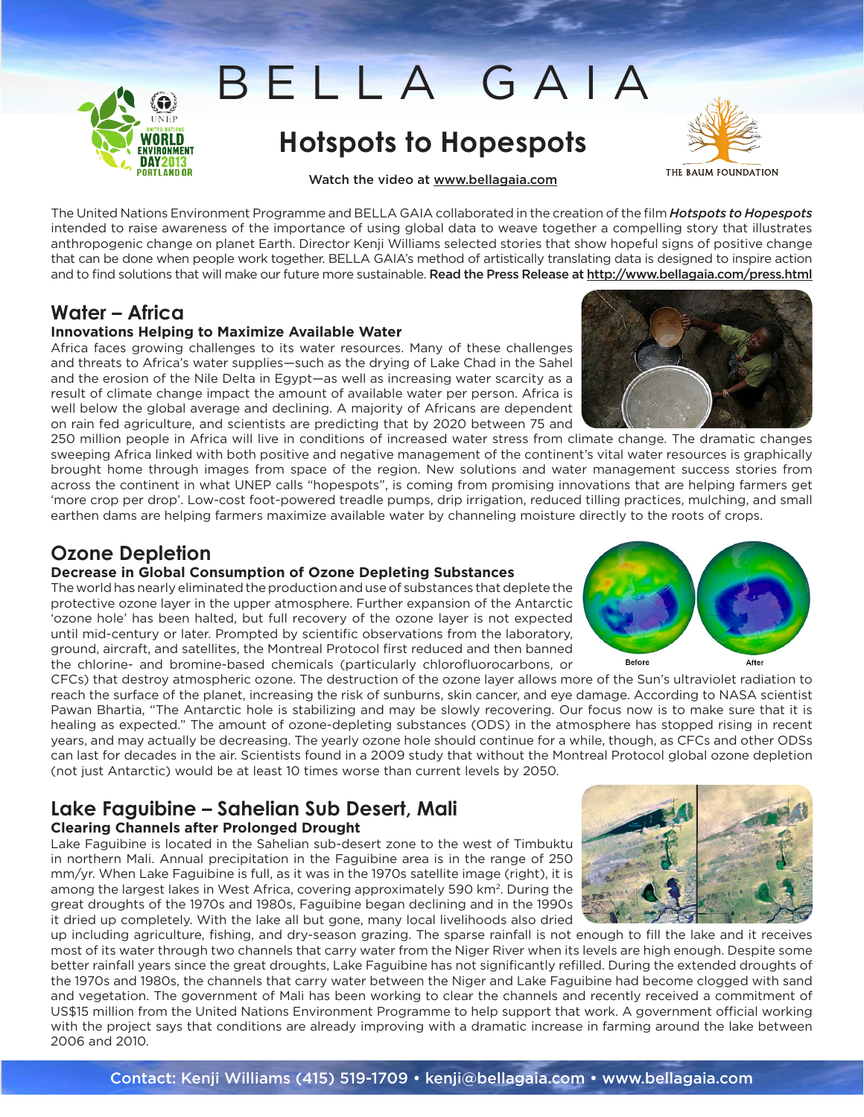

## **Hotspots to Hopespots Hotspots to Hopespots**

BELLA GAIA

Watch the video at www.bellagaia.com

THE BAUM FOUNDATION

The United Nations Environment Programme and BELLA GAIA collaborated in the creation of the film *Hotspots to Hopespots* intended to raise awareness of the importance of using global data to weave together a compelling story that illustrates anthropogenic change on planet Earth. Director Kenji Williams selected stories that show hopeful signs of positive change that can be done when people work together. BELLA GAIA's method of artistically translating data is designed to inspire action and to find solutions that will make our future more sustainable. Read the Press Release at http://www.bellagaia.com/press.html

### **Water – Africa**

### **Innovations Helping to Maximize Available Water**

Africa faces growing challenges to its water resources. Many of these challenges and threats to Africa's water supplies—such as the drying of Lake Chad in the Sahel and the erosion of the Nile Delta in Egypt—as well as increasing water scarcity as a result of climate change impact the amount of available water per person. Africa is well below the global average and declining. A majority of Africans are dependent on rain fed agriculture, and scientists are predicting that by 2020 between 75 and

250 million people in Africa will live in conditions of increased water stress from climate change. The dramatic changes sweeping Africa linked with both positive and negative management of the continent's vital water resources is graphically brought home through images from space of the region. New solutions and water management success stories from across the continent in what UNEP calls "hopespots", is coming from promising innovations that are helping farmers get 'more crop per drop'. Low-cost foot-powered treadle pumps, drip irrigation, reduced tilling practices, mulching, and small earthen dams are helping farmers maximize available water by channeling moisture directly to the roots of crops.

### **Ozone Depletion**

#### **Decrease in Global Consumption of Ozone Depleting Substances**

The world has nearly eliminated the production and use of substances that deplete the protective ozone layer in the upper atmosphere. Further expansion of the Antarctic 'ozone hole' has been halted, but full recovery of the ozone layer is not expected until mid-century or later. Prompted by scientific observations from the laboratory, ground, aircraft, and satellites, the Montreal Protocol first reduced and then banned the chlorine- and bromine-based chemicals (particularly chlorofluorocarbons, or

CFCs) that destroy atmospheric ozone. The destruction of the ozone layer allows more of the Sun's ultraviolet radiation to reach the surface of the planet, increasing the risk of sunburns, skin cancer, and eye damage. According to NASA scientist Pawan Bhartia, "The Antarctic hole is stabilizing and may be slowly recovering. Our focus now is to make sure that it is healing as expected." The amount of ozone-depleting substances (ODS) in the atmosphere has stopped rising in recent years, and may actually be decreasing. The yearly ozone hole should continue for a while, though, as CFCs and other ODSs can last for decades in the air. Scientists found in a 2009 study that without the Montreal Protocol global ozone depletion (not just Antarctic) would be at least 10 times worse than current levels by 2050.

### **Lake Faguibine – Sahelian Sub Desert, Mali Clearing Channels after Prolonged Drought**

Lake Faguibine is located in the Sahelian sub-desert zone to the west of Timbuktu in northern Mali. Annual precipitation in the Faguibine area is in the range of 250 mm/yr. When Lake Faguibine is full, as it was in the 1970s satellite image (right), it is among the largest lakes in West Africa, covering approximately 590 km2. During the great droughts of the 1970s and 1980s, Faguibine began declining and in the 1990s it dried up completely. With the lake all but gone, many local livelihoods also dried

up including agriculture, fishing, and dry-season grazing. The sparse rainfall is not enough to fill the lake and it receives most of its water through two channels that carry water from the Niger River when its levels are high enough. Despite some better rainfall years since the great droughts, Lake Faguibine has not significantly refilled. During the extended droughts of the 1970s and 1980s, the channels that carry water between the Niger and Lake Faguibine had become clogged with sand and vegetation. The government of Mali has been working to clear the channels and recently received a commitment of US\$15 million from the United Nations Environment Programme to help support that work. A government official working with the project says that conditions are already improving with a dramatic increase in farming around the lake between 2006 and 2010.